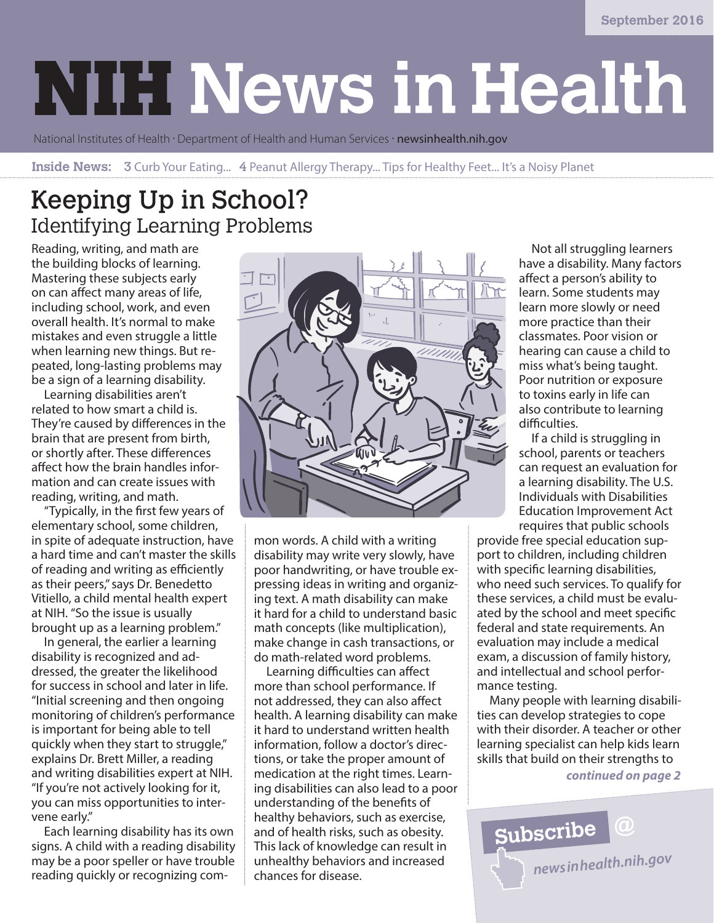# **NIH News in Health**

National Institutes of Health · Department of Health and Human Services · [newsinhealth.nih.gov](http://newsinhealth.nih.gov)

**Inside News: 3** Curb Your Eating... 4 Peanut Allergy Therapy... Tips for Healthy Feet... It's a Noisy Planet

# Keeping Up in School? Identifying Learning Problems

Reading, writing, and math are the building blocks of learning. Mastering these subjects early on can affect many areas of life, including school, work, and even overall health. It's normal to make mistakes and even struggle a little when learning new things. But repeated, long-lasting problems may be a sign of a learning disability.

Learning disabilities aren't related to how smart a child is. They're caused by differences in the brain that are present from birth, or shortly after. These differences affect how the brain handles information and can create issues with reading, writing, and math.

"Typically, in the first few years of elementary school, some children, in spite of adequate instruction, have a hard time and can't master the skills of reading and writing as efficiently as their peers," says Dr. Benedetto Vitiello, a child mental health expert at NIH. "So the issue is usually brought up as a learning problem."

In general, the earlier a learning disability is recognized and addressed, the greater the likelihood for success in school and later in life. "Initial screening and then ongoing monitoring of children's performance is important for being able to tell quickly when they start to struggle," explains Dr. Brett Miller, a reading and writing disabilities expert at NIH. "If you're not actively looking for it, you can miss opportunities to intervene early."

Each learning disability has its own signs. A child with a reading disability may be a poor speller or have trouble reading quickly or recognizing com-



mon words. A child with a writing disability may write very slowly, have poor handwriting, or have trouble expressing ideas in writing and organizing text. A math disability can make it hard for a child to understand basic math concepts (like multiplication), make change in cash transactions, or do math-related word problems.

Learning difficulties can affect more than school performance. If not addressed, they can also affect health. A learning disability can make it hard to understand written health information, follow a doctor's directions, or take the proper amount of medication at the right times. Learning disabilities can also lead to a poor understanding of the benefits of healthy behaviors, such as exercise, and of health risks, such as obesity. This lack of knowledge can result in unhealthy behaviors and increased chances for disease.

Not all struggling learners have a disability. Many factors affect a person's ability to learn. Some students may learn more slowly or need more practice than their classmates. Poor vision or hearing can cause a child to miss what's being taught. Poor nutrition or exposure to toxins early in life can also contribute to learning difficulties.

If a child is struggling in school, parents or teachers can request an evaluation for a learning disability. The U.S. Individuals with Disabilities Education Improvement Act requires that public schools

provide free special education support to children, including children with specific learning disabilities, who need such services. To qualify for these services, a child must be evaluated by the school and meet specific federal and state requirements. An evaluation may include a medical exam, a discussion of family history, and intellectual and school performance testing.

Many people with learning disabilities can develop strategies to cope with their disorder. A teacher or other learning specialist can help kids learn skills that build on their strengths to

**[Subscribe](https://newsinhealth.nih.gov/subscribe) @**

*continued on page 2*

*[newsinhealth.nih.gov](https://newsinhealth.nih.gov/subscribe)*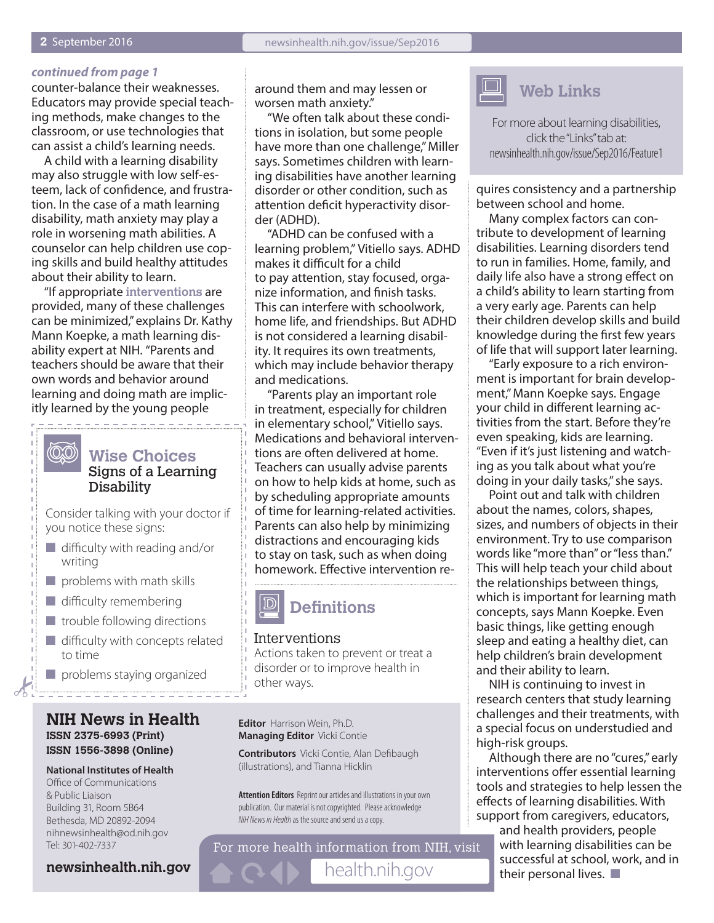### *continued from page 1*

counter-balance their weaknesses. Educators may provide special teaching methods, make changes to the classroom, or use technologies that can assist a child's learning needs.

A child with a learning disability may also struggle with low self-esteem, lack of confidence, and frustration. In the case of a math learning disability, math anxiety may play a role in worsening math abilities. A counselor can help children use coping skills and build healthy attitudes about their ability to learn.

"If appropriate **interventions** are provided, many of these challenges can be minimized," explains Dr. Kathy Mann Koepke, a math learning disability expert at NIH. "Parents and teachers should be aware that their own words and behavior around learning and doing math are implicitly learned by the young people

. . . . . . . . . . . .



### **Wise Choices** Signs of a Learning Disability

Consider talking with your doctor if you notice these signs:

- $\blacksquare$  difficulty with reading and/or writing
- $\blacksquare$  problems with math skills
- $\blacksquare$  difficulty remembering
- $\blacksquare$  trouble following directions
- $\blacksquare$  difficulty with concepts related to time
- $\blacksquare$  problems staying organized

### **NIH News in Health ISSN 2375-6993 (Print) ISSN 1556-3898 (Online)**

**National Institutes of Health** Office of Communications & Public Liaison Building 31, Room 5B64 Bethesda, MD 20892-2094 nihnewsinhealth@od.nih.gov Tel: 301-402-7337

**newsinhealth.nih.gov**

around them and may lessen or worsen math anxiety."

"We often talk about these conditions in isolation, but some people have more than one challenge," Miller says. Sometimes children with learning disabilities have another learning disorder or other condition, such as attention deficit hyperactivity disorder (ADHD).

"ADHD can be confused with a learning problem," Vitiello says. ADHD makes it difficult for a child to pay attention, stay focused, organize information, and finish tasks. This can interfere with schoolwork, home life, and friendships. But ADHD is not considered a learning disability. It requires its own treatments, which may include behavior therapy and medications.

"Parents play an important role in treatment, especially for children in elementary school," Vitiello says. Medications and behavioral interventions are often delivered at home. Teachers can usually advise parents on how to help kids at home, such as by scheduling appropriate amounts of time for learning-related activities. Parents can also help by minimizing distractions and encouraging kids to stay on task, such as when doing homework. Effective intervention re-

#### $\mathbb{D}$ **Definitions**

#### Interventions

Actions taken to prevent or treat a disorder or to improve health in other ways.

**Editor** Harrison Wein, Ph.D. **Managing Editor** Vicki Contie

**Contributors** Vicki Contie, Alan Defibaugh (illustrations), and Tianna Hicklin

**Attention Editors** Reprint our articles and illustrations in your own publication. Our material is not copyrighted. Please acknowledge *NIH News in Health* as the source and send us a copy.

For more health information from NIH, visit

[health.nih.gov](http://health.nih.gov)



For more about learning disabilities, click the "Links" tab at: [newsinhealth.nih.gov/issue/Sep2016/Feature1](https://newsinhealth.nih.gov/issue/Sep2016/Feature1)

quires consistency and a partnership between school and home.

Many complex factors can contribute to development of learning disabilities. Learning disorders tend to run in families. Home, family, and daily life also have a strong effect on a child's ability to learn starting from a very early age. Parents can help their children develop skills and build knowledge during the first few years of life that will support later learning.

"Early exposure to a rich environment is important for brain development," Mann Koepke says. Engage your child in different learning activities from the start. Before they're even speaking, kids are learning. "Even if it's just listening and watching as you talk about what you're doing in your daily tasks," she says.

Point out and talk with children about the names, colors, shapes, sizes, and numbers of objects in their environment. Try to use comparison words like "more than" or "less than." This will help teach your child about the relationships between things, which is important for learning math concepts, says Mann Koepke. Even basic things, like getting enough sleep and eating a healthy diet, can help children's brain development and their ability to learn.

NIH is continuing to invest in research centers that study learning challenges and their treatments, with a special focus on understudied and high-risk groups.

Although there are no "cures," early interventions offer essential learning tools and strategies to help lessen the effects of learning disabilities. With support from caregivers, educators,

and health providers, people with learning disabilities can be successful at school, work, and in their personal lives.  $\blacksquare$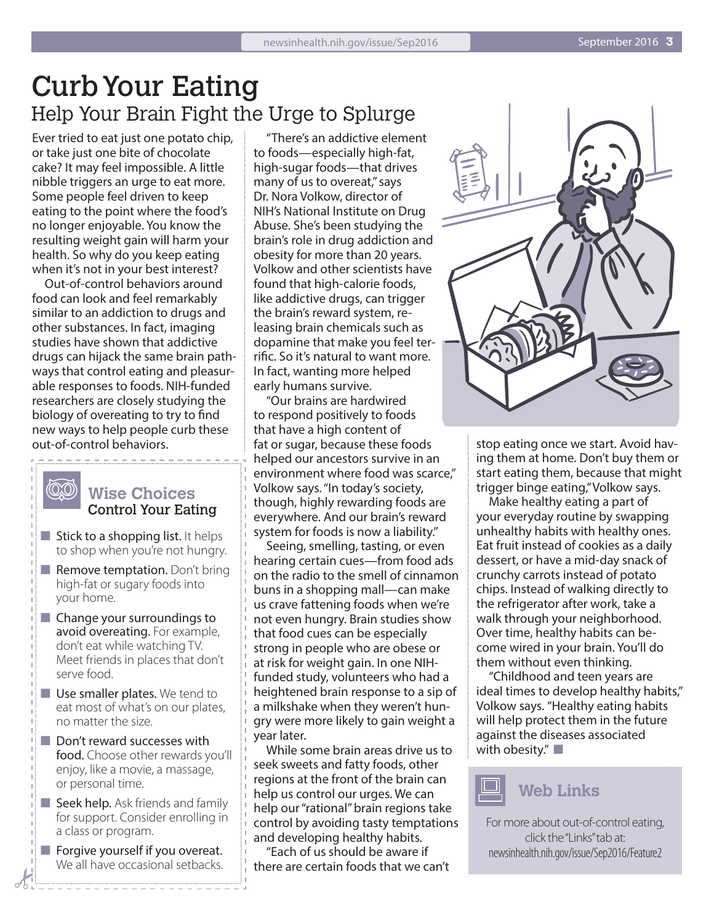# Curb Your Eating Help Your Brain Fight the Urge to Splurge

Ever tried to eat just one potato chip, or take just one bite of chocolate cake? It may feel impossible. A little nibble triggers an urge to eat more. Some people feel driven to keep eating to the point where the food's no longer enjoyable. You know the resulting weight gain will harm your health. So why do you keep eating when it's not in your best interest?

Out-of-control behaviors around food can look and feel remarkably similar to an addiction to drugs and other substances. In fact, imaging studies have shown that addictive drugs can hijack the same brain pathways that control eating and pleasurable responses to foods. NIH-funded researchers are closely studying the biology of overeating to try to find new ways to help people curb these out-of-control behaviors. State of start or sugar, because these foods stop eating once we start. Avoid hav-

. . . . . . . . . . . .

'@@

### **Wise Choices** Control Your Eating

- $\blacksquare$  Stick to a shopping list. It helps to shop when you're not hungry.
- Remove temptation. Don't bring high-fat or sugary foods into your home.
- $\blacksquare$  Change your surroundings to avoid overeating. For example, don't eat while watching TV. Meet friends in places that don't serve food.
- $\blacksquare$  Use smaller plates. We tend to eat most of what's on our plates, no matter the size.
- $\blacksquare$  Don't reward successes with food. Choose other rewards you'll enjoy, like a movie, a massage, or personal time.
- $\blacksquare$  Seek help. Ask friends and family for support. Consider enrolling in a class or program.
- $\blacksquare$  Forgive yourself if you overeat. We all have occasional setbacks.

"There's an addictive element to foods—especially high-fat, high-sugar foods—that drives many of us to overeat," says Dr. Nora Volkow, director of NIH's National Institute on Drug Abuse. She's been studying the brain's role in drug addiction and obesity for more than 20 years. Volkow and other scientists have found that high-calorie foods, like addictive drugs, can trigger the brain's reward system, releasing brain chemicals such as dopamine that make you feel terrific. So it's natural to want more. In fact, wanting more helped early humans survive.

"Our brains are hardwired to respond positively to foods that have a high content of fat or sugar, because these foods helped our ancestors survive in an environment where food was scarce," Volkow says. "In today's society, though, highly rewarding foods are everywhere. And our brain's reward system for foods is now a liability."

Seeing, smelling, tasting, or even hearing certain cues—from food ads on the radio to the smell of cinnamon buns in a shopping mall—can make us crave fattening foods when we're not even hungry. Brain studies show that food cues can be especially strong in people who are obese or at risk for weight gain. In one NIHfunded study, volunteers who had a heightened brain response to a sip of a milkshake when they weren't hungry were more likely to gain weight a year later.

While some brain areas drive us to seek sweets and fatty foods, other regions at the front of the brain can help us control our urges. We can help our "rational" brain regions take control by avoiding tasty temptations and developing healthy habits.

"Each of us should be aware if there are certain foods that we can't



ing them at home. Don't buy them or start eating them, because that might trigger binge eating," Volkow says.

Make healthy eating a part of your everyday routine by swapping unhealthy habits with healthy ones. Eat fruit instead of cookies as a daily dessert, or have a mid-day snack of crunchy carrots instead of potato chips. Instead of walking directly to the refrigerator after work, take a walk through your neighborhood. Over time, healthy habits can become wired in your brain. You'll do them without even thinking.

"Childhood and teen years are ideal times to develop healthy habits," Volkow says. "Healthy eating habits will help protect them in the future against the diseases associated with obesity." $\blacksquare$ 



For more about out-of-control eating, click the "Links" tab at: [newsinhealth.nih.gov/issue/Sep2016/Feature2](http://newsinhealth.nih.gov/issue/Sep2016/Feature2)